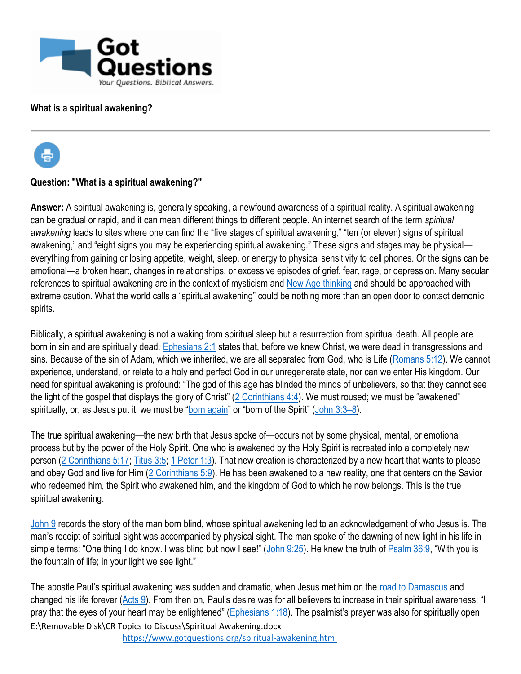

## **What is a spiritual awakening?**



## **Question: "What is a spiritual awakening?"**

Answer: A spiritual awakening is, generally speaking, a newfound awareness of a spiritual reality. A spiritual awakening can be gradual or rapid, and it can mean different things to different people. An internet search of the term *spiritual awakening* leads to sites where one can find the "five stages of spiritual awakening," "ten (or eleven) signs of spiritual awakening," and "eight signs you may be experiencing spiritual awakening." These signs and stages may be physical everything from gaining or losing appetite, weight, sleep, or energy to physical sensitivity to cell phones. Or the signs can be emotional—a broken heart, changes in relationships, or excessive episodes of grief, fear, rage, or depression. Many secular references to spiritual awakening are in the context of mysticism and [New Age thinking](https://www.gotquestions.org/new-age-movement.html) and should be approached with extreme caution. What the world calls a "spiritual awakening" could be nothing more than an open door to contact demonic spirits.

Biblically, a spiritual awakening is not a waking from spiritual sleep but a resurrection from spiritual death. All people are born in sin and are spiritually dead. [Ephesians 2:1](https://biblia.com/bible/esv/Eph%202.1) states that, before we knew Christ, we were dead in transgressions and sins. Because of the sin of Adam, which we inherited, we are all separated from God, who is Life [\(Romans 5:12\)](https://biblia.com/bible/esv/Rom%205.12). We cannot experience, understand, or relate to a holy and perfect God in our unregenerate state, nor can we enter His kingdom. Our need for spiritual awakening is profound: "The god of this age has blinded the minds of unbelievers, so that they cannot see the light of the gospel that displays the glory of Christ"  $(2$  Corinthians  $4:4$ ). We must roused; we must be "awakened" spiritually, or, as Jesus put it, we must be "[born again](https://www.gotquestions.org/born-again.html)" or "born of the Spirit" ([John 3:3](https://biblia.com/bible/esv/John%203.3%E2%80%938)–8).

The true spiritual awakening—the new birth that Jesus spoke of—occurs not by some physical, mental, or emotional process but by the power of the Holy Spirit. One who is awakened by the Holy Spirit is recreated into a completely new person [\(2 Corinthians 5:17;](https://biblia.com/bible/esv/2%20Cor%205.17) [Titus 3:5;](https://biblia.com/bible/esv/Titus%203.5) [1 Peter 1:3\)](https://biblia.com/bible/esv/1%20Pet%201.3). That new creation is characterized by a new heart that wants to please and obey God and live for Him [\(2 Corinthians 5:9\)](https://biblia.com/bible/esv/2%20Cor%205.9). He has been awakened to a new reality, one that centers on the Savior who redeemed him, the Spirit who awakened him, and the kingdom of God to which he now belongs. This is the true spiritual awakening.

[John 9](https://biblia.com/bible/esv/John%209) records the story of the man born blind, whose spiritual awakening led to an acknowledgement of who Jesus is. The man's receipt of spiritual sight was accompanied by physical sight. The man spoke of the dawning of new light in his life in simple terms: "One thing I do know. I was blind but now I see!" ([John 9:25\)](https://biblia.com/bible/esv/John%209.25). He knew the truth of [Psalm 36:9](https://biblia.com/bible/esv/Ps%2036.9), "With you is the fountain of life; in your light we see light."

E:\Removable Disk\CR Topics to Discuss\Spiritual Awakening.docx The apostle Paul's spiritual awakening was sudden and dramatic, when Jesus met him on the [road to Damascus](https://www.gotquestions.org/Damascus-Road.html) and changed his life forever [\(Acts 9](https://biblia.com/bible/esv/Acts%209)). From then on, Paul's desire was for all believers to increase in their spiritual awareness: "I pray that the eyes of your heart may be enlightened" ( $E$ phesians 1:18). The psalmist's prayer was also for spiritually open

<https://www.gotquestions.org/spiritual-awakening.html>